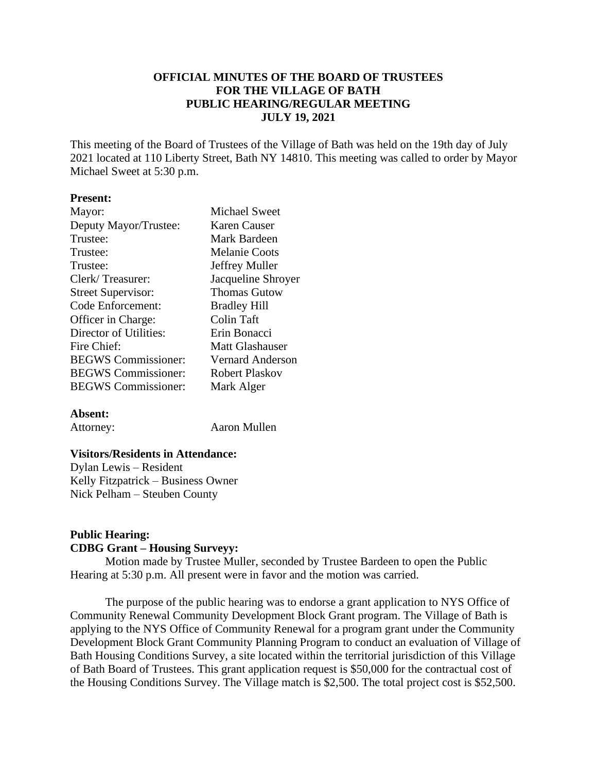# **OFFICIAL MINUTES OF THE BOARD OF TRUSTEES FOR THE VILLAGE OF BATH PUBLIC HEARING/REGULAR MEETING JULY 19, 2021**

This meeting of the Board of Trustees of the Village of Bath was held on the 19th day of July 2021 located at 110 Liberty Street, Bath NY 14810. This meeting was called to order by Mayor Michael Sweet at 5:30 p.m.

#### **Present:**

| Mayor:                     | <b>Michael Sweet</b>    |
|----------------------------|-------------------------|
| Deputy Mayor/Trustee:      | Karen Causer            |
| Trustee:                   | Mark Bardeen            |
| Trustee:                   | <b>Melanie Coots</b>    |
| Trustee:                   | Jeffrey Muller          |
| Clerk/Treasurer:           | Jacqueline Shroyer      |
| <b>Street Supervisor:</b>  | <b>Thomas Gutow</b>     |
| Code Enforcement:          | <b>Bradley Hill</b>     |
| Officer in Charge:         | Colin Taft              |
| Director of Utilities:     | Erin Bonacci            |
| Fire Chief:                | Matt Glashauser         |
| <b>BEGWS</b> Commissioner: | <b>Vernard Anderson</b> |
| <b>BEGWS</b> Commissioner: | Robert Plaskov          |
| <b>BEGWS</b> Commissioner: | Mark Alger              |
|                            |                         |

#### **Absent:**

Attorney: Aaron Mullen

#### **Visitors/Residents in Attendance:**

Dylan Lewis – Resident Kelly Fitzpatrick – Business Owner Nick Pelham – Steuben County

# **Public Hearing: CDBG Grant – Housing Surveyy:**

Motion made by Trustee Muller, seconded by Trustee Bardeen to open the Public Hearing at 5:30 p.m. All present were in favor and the motion was carried.

The purpose of the public hearing was to endorse a grant application to NYS Office of Community Renewal Community Development Block Grant program. The Village of Bath is applying to the NYS Office of Community Renewal for a program grant under the Community Development Block Grant Community Planning Program to conduct an evaluation of Village of Bath Housing Conditions Survey, a site located within the territorial jurisdiction of this Village of Bath Board of Trustees. This grant application request is \$50,000 for the contractual cost of the Housing Conditions Survey. The Village match is \$2,500. The total project cost is \$52,500.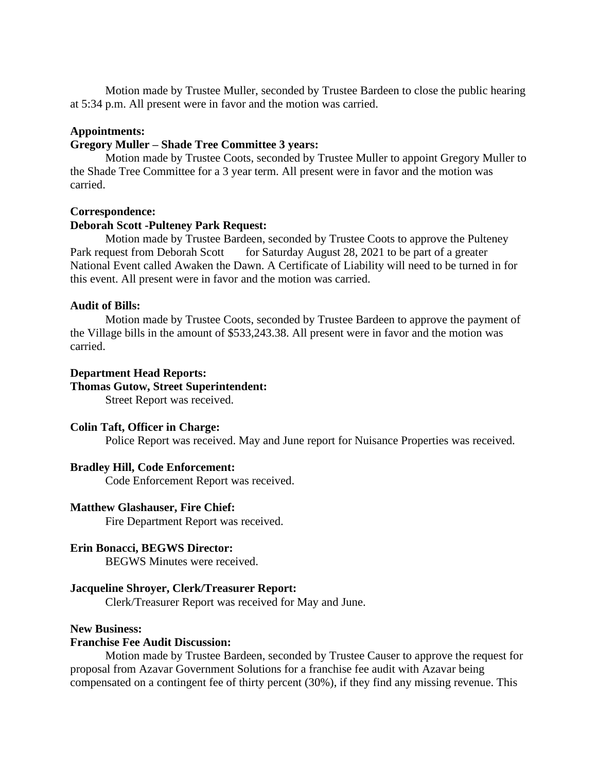Motion made by Trustee Muller, seconded by Trustee Bardeen to close the public hearing at 5:34 p.m. All present were in favor and the motion was carried.

#### **Appointments:**

## **Gregory Muller – Shade Tree Committee 3 years:**

Motion made by Trustee Coots, seconded by Trustee Muller to appoint Gregory Muller to the Shade Tree Committee for a 3 year term. All present were in favor and the motion was carried.

#### **Correspondence:**

## **Deborah Scott -Pulteney Park Request:**

Motion made by Trustee Bardeen, seconded by Trustee Coots to approve the Pulteney Park request from Deborah Scott for Saturday August 28, 2021 to be part of a greater National Event called Awaken the Dawn. A Certificate of Liability will need to be turned in for this event. All present were in favor and the motion was carried.

## **Audit of Bills:**

Motion made by Trustee Coots, seconded by Trustee Bardeen to approve the payment of the Village bills in the amount of \$533,243.38. All present were in favor and the motion was carried.

#### **Department Head Reports:**

## **Thomas Gutow, Street Superintendent:**

Street Report was received.

#### **Colin Taft, Officer in Charge:**

Police Report was received. May and June report for Nuisance Properties was received.

#### **Bradley Hill, Code Enforcement:**

Code Enforcement Report was received.

#### **Matthew Glashauser, Fire Chief:**

Fire Department Report was received.

#### **Erin Bonacci, BEGWS Director:**

BEGWS Minutes were received.

#### **Jacqueline Shroyer, Clerk/Treasurer Report:**

Clerk/Treasurer Report was received for May and June.

## **New Business:**

#### **Franchise Fee Audit Discussion:**

Motion made by Trustee Bardeen, seconded by Trustee Causer to approve the request for proposal from Azavar Government Solutions for a franchise fee audit with Azavar being compensated on a contingent fee of thirty percent (30%), if they find any missing revenue. This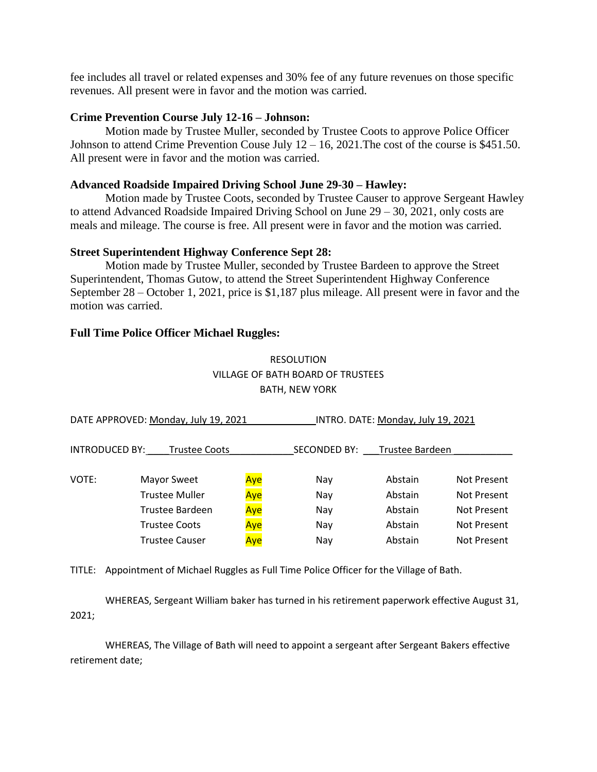fee includes all travel or related expenses and 30% fee of any future revenues on those specific revenues. All present were in favor and the motion was carried.

#### **Crime Prevention Course July 12-16 – Johnson:**

Motion made by Trustee Muller, seconded by Trustee Coots to approve Police Officer Johnson to attend Crime Prevention Couse July  $12 - 16$ , 2021. The cost of the course is \$451.50. All present were in favor and the motion was carried.

#### **Advanced Roadside Impaired Driving School June 29-30 – Hawley:**

Motion made by Trustee Coots, seconded by Trustee Causer to approve Sergeant Hawley to attend Advanced Roadside Impaired Driving School on June 29 – 30, 2021, only costs are meals and mileage. The course is free. All present were in favor and the motion was carried.

#### **Street Superintendent Highway Conference Sept 28:**

Motion made by Trustee Muller, seconded by Trustee Bardeen to approve the Street Superintendent, Thomas Gutow, to attend the Street Superintendent Highway Conference September 28 – October 1, 2021, price is \$1,187 plus mileage. All present were in favor and the motion was carried.

#### **Full Time Police Officer Michael Ruggles:**

# RESOLUTION VILLAGE OF BATH BOARD OF TRUSTEES BATH, NEW YORK

| DATE APPROVED: Monday, July 19, 2021 |                       |     | INTRO. DATE: Monday, July 19, 2021 |                 |             |  |
|--------------------------------------|-----------------------|-----|------------------------------------|-----------------|-------------|--|
| <b>INTRODUCED BY:</b>                | <b>Trustee Coots</b>  |     | SECONDED BY:                       | Trustee Bardeen |             |  |
| VOTE:                                | Mayor Sweet           | Aye | Nav                                | Abstain         | Not Present |  |
|                                      | <b>Trustee Muller</b> | Aye | Nay                                | Abstain         | Not Present |  |
|                                      | Trustee Bardeen       | Aye | Nay                                | Abstain         | Not Present |  |
|                                      | Trustee Coots         | Aye | Nay                                | Abstain         | Not Present |  |
|                                      | Trustee Causer        | Aye | Nay                                | Abstain         | Not Present |  |

TITLE: Appointment of Michael Ruggles as Full Time Police Officer for the Village of Bath.

WHEREAS, Sergeant William baker has turned in his retirement paperwork effective August 31, 2021;

WHEREAS, The Village of Bath will need to appoint a sergeant after Sergeant Bakers effective retirement date;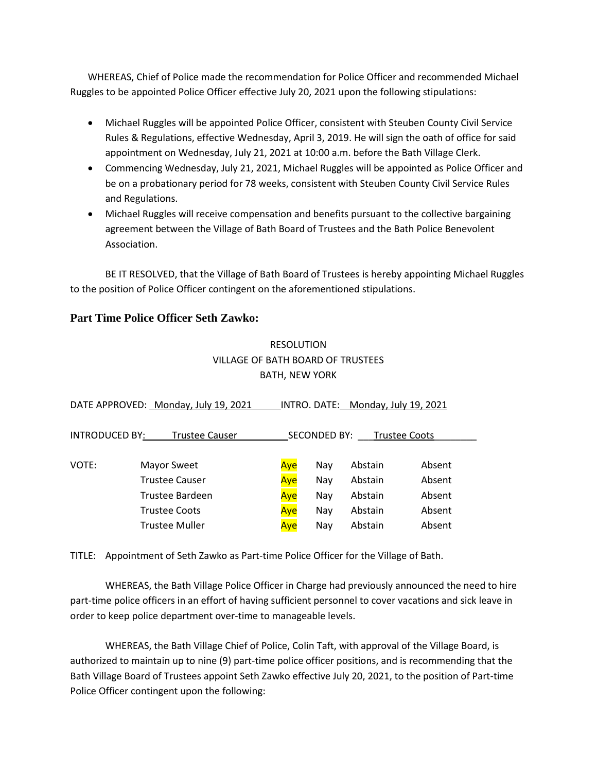WHEREAS, Chief of Police made the recommendation for Police Officer and recommended Michael Ruggles to be appointed Police Officer effective July 20, 2021 upon the following stipulations:

- Michael Ruggles will be appointed Police Officer, consistent with Steuben County Civil Service Rules & Regulations, effective Wednesday, April 3, 2019. He will sign the oath of office for said appointment on Wednesday, July 21, 2021 at 10:00 a.m. before the Bath Village Clerk.
- Commencing Wednesday, July 21, 2021, Michael Ruggles will be appointed as Police Officer and be on a probationary period for 78 weeks, consistent with Steuben County Civil Service Rules and Regulations.
- Michael Ruggles will receive compensation and benefits pursuant to the collective bargaining agreement between the Village of Bath Board of Trustees and the Bath Police Benevolent Association.

BE IT RESOLVED, that the Village of Bath Board of Trustees is hereby appointing Michael Ruggles to the position of Police Officer contingent on the aforementioned stipulations.

# **Part Time Police Officer Seth Zawko:**

# RESOLUTION VILLAGE OF BATH BOARD OF TRUSTEES BATH, NEW YORK

|                       | DATE APPROVED: Monday, July 19, 2021 |     |                     | INTRO. DATE: Monday, July 19, 2021 |                      |  |
|-----------------------|--------------------------------------|-----|---------------------|------------------------------------|----------------------|--|
| <b>INTRODUCED BY:</b> | <b>Trustee Causer</b>                |     | <b>SECONDED BY:</b> |                                    | <b>Trustee Coots</b> |  |
| VOTE:                 | Mayor Sweet                          | Aye | Nav                 | Abstain                            | Absent               |  |
|                       | <b>Trustee Causer</b>                | Aye | Nay                 | Abstain                            | Absent               |  |
|                       | Trustee Bardeen                      | Aye | Nay                 | Abstain                            | Absent               |  |
|                       | <b>Trustee Coots</b>                 | Aye | Nay                 | Abstain                            | Absent               |  |
|                       | <b>Trustee Muller</b>                | Aye | Nav                 | Abstain                            | Absent               |  |

TITLE: Appointment of Seth Zawko as Part-time Police Officer for the Village of Bath.

WHEREAS, the Bath Village Police Officer in Charge had previously announced the need to hire part-time police officers in an effort of having sufficient personnel to cover vacations and sick leave in order to keep police department over-time to manageable levels.

WHEREAS, the Bath Village Chief of Police, Colin Taft, with approval of the Village Board, is authorized to maintain up to nine (9) part-time police officer positions, and is recommending that the Bath Village Board of Trustees appoint Seth Zawko effective July 20, 2021, to the position of Part-time Police Officer contingent upon the following: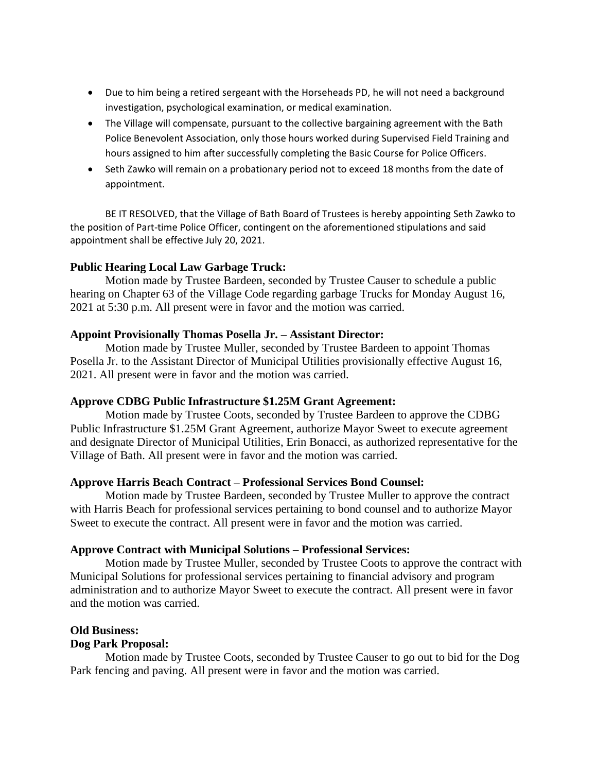- Due to him being a retired sergeant with the Horseheads PD, he will not need a background investigation, psychological examination, or medical examination.
- The Village will compensate, pursuant to the collective bargaining agreement with the Bath Police Benevolent Association, only those hours worked during Supervised Field Training and hours assigned to him after successfully completing the Basic Course for Police Officers.
- Seth Zawko will remain on a probationary period not to exceed 18 months from the date of appointment.

BE IT RESOLVED, that the Village of Bath Board of Trustees is hereby appointing Seth Zawko to the position of Part-time Police Officer, contingent on the aforementioned stipulations and said appointment shall be effective July 20, 2021.

# **Public Hearing Local Law Garbage Truck:**

Motion made by Trustee Bardeen, seconded by Trustee Causer to schedule a public hearing on Chapter 63 of the Village Code regarding garbage Trucks for Monday August 16, 2021 at 5:30 p.m. All present were in favor and the motion was carried.

## **Appoint Provisionally Thomas Posella Jr. – Assistant Director:**

Motion made by Trustee Muller, seconded by Trustee Bardeen to appoint Thomas Posella Jr. to the Assistant Director of Municipal Utilities provisionally effective August 16, 2021. All present were in favor and the motion was carried.

# **Approve CDBG Public Infrastructure \$1.25M Grant Agreement:**

Motion made by Trustee Coots, seconded by Trustee Bardeen to approve the CDBG Public Infrastructure \$1.25M Grant Agreement, authorize Mayor Sweet to execute agreement and designate Director of Municipal Utilities, Erin Bonacci, as authorized representative for the Village of Bath. All present were in favor and the motion was carried.

# **Approve Harris Beach Contract – Professional Services Bond Counsel:**

Motion made by Trustee Bardeen, seconded by Trustee Muller to approve the contract with Harris Beach for professional services pertaining to bond counsel and to authorize Mayor Sweet to execute the contract. All present were in favor and the motion was carried.

#### **Approve Contract with Municipal Solutions – Professional Services:**

Motion made by Trustee Muller, seconded by Trustee Coots to approve the contract with Municipal Solutions for professional services pertaining to financial advisory and program administration and to authorize Mayor Sweet to execute the contract. All present were in favor and the motion was carried.

## **Old Business:**

# **Dog Park Proposal:**

Motion made by Trustee Coots, seconded by Trustee Causer to go out to bid for the Dog Park fencing and paving. All present were in favor and the motion was carried.